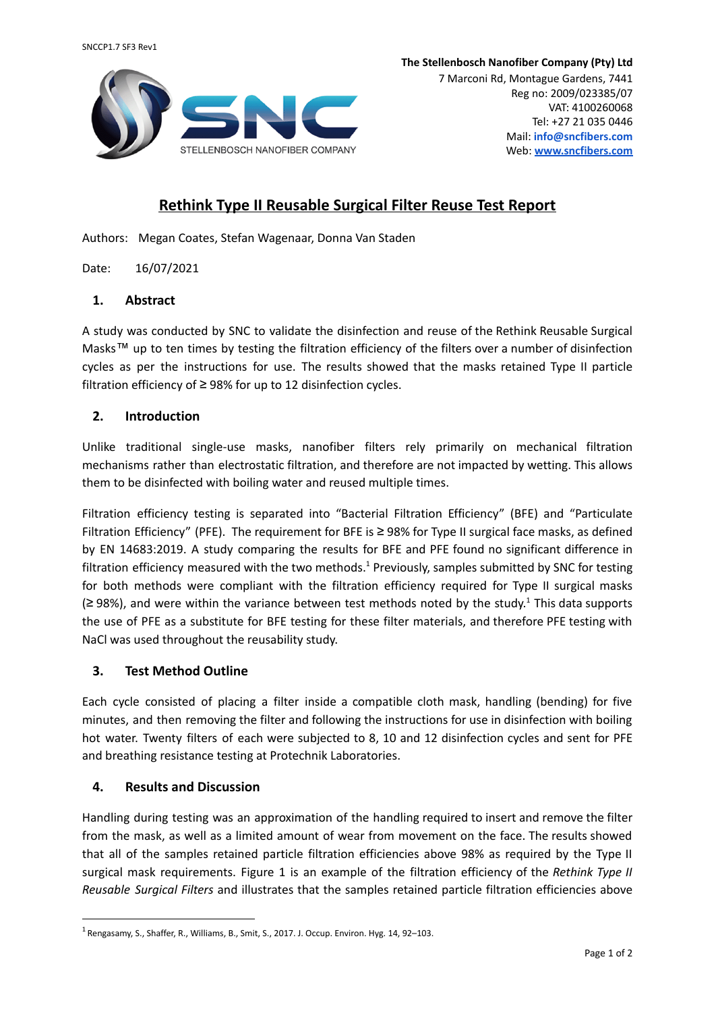

7 Marconi Rd, Montague Gardens, 7441 Reg no: 2009/023385/07 VAT: 4100260068 Tel: +27 21 035 0446 Mail: **info@sncfibers.com** Web: **[www.sncfibers.com](http://www.sncfibers.com)**

# **Rethink Type II Reusable Surgical Filter Reuse Test Report**

Authors: Megan Coates, Stefan Wagenaar, Donna Van Staden

Date: 16/07/2021

#### **1. Abstract**

A study was conducted by SNC to validate the disinfection and reuse of the Rethink Reusable Surgical Masks™ up to ten times by testing the filtration efficiency of the filters over a number of disinfection cycles as per the instructions for use. The results showed that the masks retained Type II particle filtration efficiency of ≥ 98% for up to 12 disinfection cycles.

#### **2. Introduction**

Unlike traditional single-use masks, nanofiber filters rely primarily on mechanical filtration mechanisms rather than electrostatic filtration, and therefore are not impacted by wetting. This allows them to be disinfected with boiling water and reused multiple times.

Filtration efficiency testing is separated into "Bacterial Filtration Efficiency" (BFE) and "Particulate Filtration Efficiency" (PFE). The requirement for BFE is ≥ 98% for Type II surgical face masks, as defined by EN 14683:2019. A study comparing the results for BFE and PFE found no significant difference in filtration efficiency measured with the two methods.<sup>1</sup> Previously, samples submitted by SNC for testing for both methods were compliant with the filtration efficiency required for Type II surgical masks  $($ ≥ 98%), and were within the variance between test methods noted by the study.<sup>1</sup> This data supports the use of PFE as a substitute for BFE testing for these filter materials, and therefore PFE testing with NaCl was used throughout the reusability study.

# **3. Test Method Outline**

Each cycle consisted of placing a filter inside a compatible cloth mask, handling (bending) for five minutes, and then removing the filter and following the instructions for use in disinfection with boiling hot water. Twenty filters of each were subjected to 8, 10 and 12 disinfection cycles and sent for PFE and breathing resistance testing at Protechnik Laboratories.

# **4. Results and Discussion**

Handling during testing was an approximation of the handling required to insert and remove the filter from the mask, as well as a limited amount of wear from movement on the face. The results showed that all of the samples retained particle filtration efficiencies above 98% as required by the Type II surgical mask requirements. Figure 1 is an example of the filtration efficiency of the *Rethink Type II Reusable Surgical Filters* and illustrates that the samples retained particle filtration efficiencies above

 $<sup>1</sup>$  Rengasamy, S., Shaffer, R., Williams, B., Smit, S., 2017. J. Occup. Environ. Hyg. 14, 92–103.</sup>